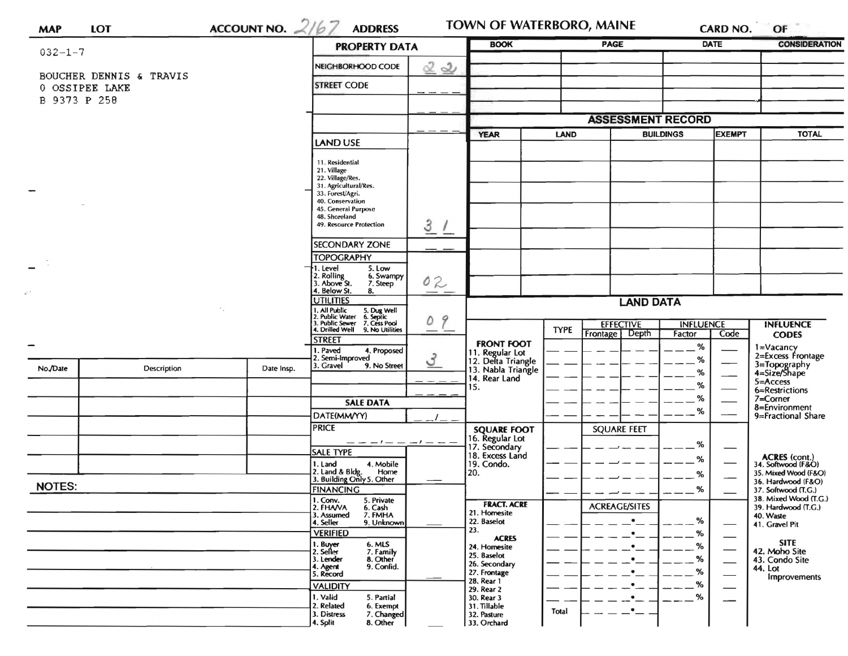| ACCOUNT NO. $2/67$<br>$032 - 1 - 7$ |                         |                  | <b>PROPERTY DATA</b>                                                                                                                                        |                                           | <b>BOOK</b>                           |                                   | PAGE                                 |              | <b>DATE</b>                                          | <b>CONSIDERATION</b>                                                       |
|-------------------------------------|-------------------------|------------------|-------------------------------------------------------------------------------------------------------------------------------------------------------------|-------------------------------------------|---------------------------------------|-----------------------------------|--------------------------------------|--------------|------------------------------------------------------|----------------------------------------------------------------------------|
|                                     | BOUCHER DENNIS & TRAVIS |                  | NEIGHBORHOOD CODE                                                                                                                                           | <u>2</u><br>$\mathbf{2}$                  |                                       |                                   |                                      |              |                                                      |                                                                            |
| 0 OSSIPEE LAKE<br>B 9373 P 258      |                         |                  | <b>STREET CODE</b>                                                                                                                                          |                                           |                                       |                                   |                                      |              |                                                      |                                                                            |
|                                     |                         |                  |                                                                                                                                                             |                                           |                                       |                                   | <b>ASSESSMENT RECORD</b>             |              |                                                      |                                                                            |
|                                     |                         |                  |                                                                                                                                                             | <b>YEAR</b><br><b>LAND</b>                |                                       | <b>EXEMPT</b><br><b>BUILDINGS</b> |                                      | <b>TOTAL</b> |                                                      |                                                                            |
|                                     |                         |                  | LAND USE                                                                                                                                                    |                                           |                                       |                                   |                                      |              |                                                      |                                                                            |
|                                     |                         |                  | 11. Residential<br>21. Village<br>22. Village/Res.<br>31. Agricultural/Res.<br>33. Forest/Agri.<br>40. Conservation<br>45. General Purpose<br>48. Shoreland |                                           |                                       |                                   |                                      |              |                                                      |                                                                            |
|                                     |                         |                  | 49. Resource Protection                                                                                                                                     | 3/                                        |                                       |                                   |                                      |              |                                                      |                                                                            |
|                                     |                         |                  | <b>SECONDARY ZONE</b>                                                                                                                                       |                                           |                                       |                                   |                                      |              |                                                      |                                                                            |
|                                     |                         |                  | <b>TOPOGRAPHY</b>                                                                                                                                           |                                           |                                       |                                   |                                      |              |                                                      |                                                                            |
|                                     |                         |                  | 1. Level<br>5. Low<br>2. Rolling<br>3. Above St.<br>6. Swampy<br>7. Steep                                                                                   | 02                                        |                                       |                                   |                                      |              |                                                      |                                                                            |
|                                     |                         |                  | 4. Below St.<br>8.<br><b>UTILITIES</b>                                                                                                                      |                                           |                                       |                                   |                                      |              |                                                      |                                                                            |
|                                     |                         |                  |                                                                                                                                                             |                                           | <b>LAND DATA</b>                      |                                   |                                      |              |                                                      |                                                                            |
|                                     |                         |                  | 1. All Public 5. Dug Well<br>2. Public Water 6. Septic<br>3. Public Sewer 7. Cess Pool<br>4. Drilled Well 9. No Utilities                                   | 9<br>0<br>$\overbrace{\qquad \qquad }^{}$ |                                       | <b>TYPE</b>                       | <b>EFFECTIVE</b><br><b>INFLUENCE</b> |              |                                                      | <b>INFLUENCE</b>                                                           |
|                                     |                         |                  | <b>STREET</b>                                                                                                                                               |                                           | <b>FRONT FOOT</b>                     |                                   | Frontage Depth                       | Factor       | Code                                                 | <b>CODES</b>                                                               |
|                                     |                         |                  | 1. Paved<br>4. Proposed<br>2. Semi-Improved                                                                                                                 |                                           | 11. Regular Lot<br>12. Delta Triangle |                                   |                                      | $\%$<br>%    |                                                      | 1=Vacancy<br>2=Excess Frontage                                             |
| No./Date                            | Description             | Date Insp.       | 3. Gravel<br>9. No Street                                                                                                                                   | 3                                         | 13. Nabla Triangle                    |                                   |                                      | %            |                                                      | 3=Topography<br>4=Size/Shape<br>$5 =$ Access<br>6=Restrictions<br>7=Corner |
|                                     |                         |                  |                                                                                                                                                             |                                           | 14. Rear Land<br>15.                  |                                   |                                      | %            |                                                      |                                                                            |
|                                     |                         |                  |                                                                                                                                                             |                                           |                                       |                                   |                                      | %            |                                                      |                                                                            |
|                                     |                         |                  | <b>SALE DATA</b>                                                                                                                                            |                                           |                                       |                                   |                                      | %            |                                                      | 8=Environment                                                              |
|                                     |                         |                  | DATE(MM/YY)<br><b>PRICE</b>                                                                                                                                 |                                           |                                       |                                   |                                      |              |                                                      | 9=Fractional Share                                                         |
|                                     |                         |                  |                                                                                                                                                             |                                           | <b>SQUARE FOOT</b><br>16. Regular Lot |                                   | <b>SQUARE FEET</b>                   |              |                                                      |                                                                            |
|                                     |                         |                  | — — — ! — — — - ! — — —<br><b>SALE TYPE</b>                                                                                                                 |                                           | 17. Secondary<br>18. Excess Land      |                                   |                                      | $\%$         |                                                      |                                                                            |
|                                     |                         |                  | 1. Land<br>4. Mobile                                                                                                                                        |                                           | 19. Condo.                            |                                   |                                      | %            |                                                      | <b>ACRES</b> (cont.)<br>34. Softwood (F&O)                                 |
|                                     |                         |                  | 2. Land & Bldg. Home<br>3. Building Only 5. Other<br>Home                                                                                                   |                                           | 20.                                   |                                   |                                      | ℅            |                                                      | 35. Mixed Wood (F&O)<br>36. Hardwood (F&O)                                 |
| <b>NOTES:</b>                       |                         | <b>FINANCING</b> |                                                                                                                                                             |                                           |                                       |                                   | %                                    |              | 37. Softwood (T.G.)                                  |                                                                            |
|                                     |                         |                  | $1.$ Conv.<br>5. Private<br>2. FHAVA<br>6. Cash                                                                                                             |                                           | <b>FRACT. ACRE</b>                    |                                   | <b>ACREAGE/SITES</b>                 |              |                                                      | 38. Mixed Wood (T.G.)<br>39. Hardwood (T.G.)                               |
|                                     |                         |                  | 7. FMHA<br>3. Assumed<br>4. Seller<br>9. Unknown                                                                                                            |                                           | 21. Homesite<br>22. Baselot           |                                   | $\bullet$                            | %            |                                                      | 40. Waste                                                                  |
|                                     |                         |                  | <b>VERIFIED</b>                                                                                                                                             |                                           | 23.                                   |                                   | $\bullet$                            | %            |                                                      | 41. Gravel Pit                                                             |
|                                     |                         |                  | 1. Buyer<br>2. Seller                                                                                                                                       |                                           | <b>ACRES</b><br>24. Homesite          |                                   |                                      | %            | $\overline{\phantom{0}}$<br>$\overline{\phantom{0}}$ | <b>SITE</b><br>42. Moho Site                                               |
|                                     |                         |                  | 6. MLS<br>7. Family<br>8. Other<br>3. Lender                                                                                                                |                                           | 25. Baselot<br>26. Secondary          |                                   |                                      | %            |                                                      | 43. Condo Site                                                             |
|                                     |                         |                  | 9. Confid.<br>4. Agent<br>5. Record                                                                                                                         |                                           | 27. Frontage                          |                                   |                                      | %            | $\overline{\phantom{0}}$                             | 44. Lot<br><b>Improvements</b>                                             |
|                                     |                         |                  | <b>VALIDITY</b>                                                                                                                                             |                                           | 28. Rear 1<br>29. Rear 2              |                                   |                                      | %            | $\overline{\phantom{0}}$                             |                                                                            |
|                                     |                         |                  | 1. Valid<br>5. Partial                                                                                                                                      |                                           | 30. Rear 3                            |                                   |                                      | %            |                                                      |                                                                            |
|                                     |                         |                  | 2. Related<br>6. Exempt<br>7. Changed<br>3. Distress                                                                                                        |                                           | 31. Tillable<br>32. Pasture           | Total                             | $\cdot$                              |              |                                                      |                                                                            |
|                                     |                         |                  | 8. Other<br>4. Split                                                                                                                                        |                                           | 33. Orchard                           |                                   |                                      |              |                                                      |                                                                            |